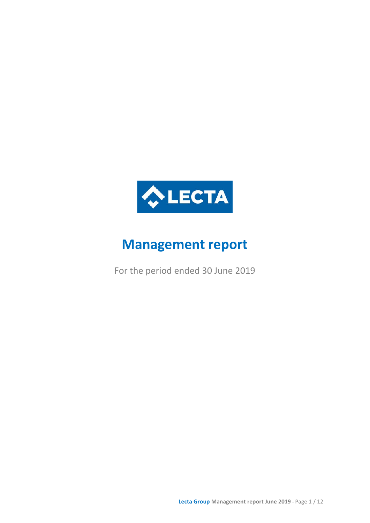

# **Management report**

For the period ended 30 June 2019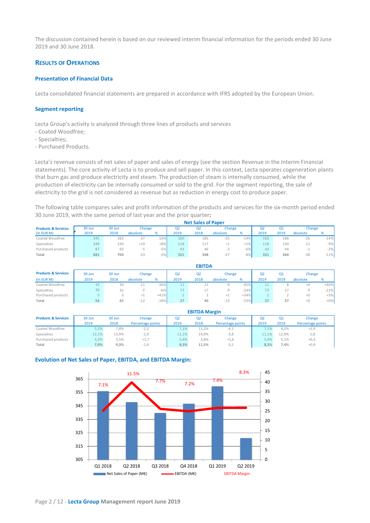The discussion contained herein is based on our reviewed interim financial information for the periods ended 30 June 2019 and 30 June 2018.

# **RESULTS OF OPERATIONS**

## **Presentation of Financial Data**

Lecta consolidated financial statements are prepared in accordance with IFRS adopted by the European Union.

## **Segment reporting**

Lecta Group's activity is analyzed through three lines of products and services

- Coated Woodfree;
- Specialties;
- Purchased Products.

Lecta's revenue consists of net sales of paper and sales of energy (see the section Revenue in the Interim Financial statements). The core activity of Lecta is to produce and sell paper. In this context, Lecta operates cogeneration plants that burn gas and produce electricity and steam. The production of steam is internally consumed, while the production of electricity can be internally consumed or sold to the grid. For the segment reporting, the sale of electricity to the grid is not considered as revenue but as reduction in energy cost to produce paper.

The following table compares sales and profit information of the products and services for the six-month period ended 30 June 2019, with the same period of last year and the prior quarter:

|                                | <b>Net Sales of Paper</b> |        |                 |        |                |                |          |        |      |      |          |        |
|--------------------------------|---------------------------|--------|-----------------|--------|----------------|----------------|----------|--------|------|------|----------|--------|
| <b>Products &amp; Services</b> | 30 Jun                    | 30 Jun | Change          |        | Q <sub>2</sub> | Q <sub>2</sub> | Change   |        | Q2   | Q1   | Change   |        |
| (in EUR M)                     | 2019                      | 2018   | absolute        | %      | 2019           | 2018           | absolute | %      | 2019 | 2019 | absolute | %      |
| Coated Woodfree                | 345                       | 382    | $\sim$<br>$-3/$ | $-10%$ | 160            | 185            | $-25$    | $-14%$ | 160  | 186  | $-26$    | $-14%$ |
| Specialties                    | 248                       | 230    | $+19$           | $+8%$  | 118            | 117            | $+1$     | $+1%$  | 118  | 130  | $-12$    | $-9%$  |
| Purchased products             | 87                        | 92     | ל-              | $-5%$  | 43             | 46             | -3       | $-6%$  | 43   | 44   |          | $-2%$  |
| Total                          | 681                       | 704    | $-23$           | $-3%$  | 321            | 348            | $-27$    | $-8%$  | 321  | 360  | $-38$    | $-11%$ |

|                                |        |        |          |        |                | <b>EBITDA</b>  |          |        |                          |      |          |        |
|--------------------------------|--------|--------|----------|--------|----------------|----------------|----------|--------|--------------------------|------|----------|--------|
| <b>Products &amp; Services</b> | 30 Jun | 30 Jun | Change   |        | Q <sub>2</sub> | Q <sub>2</sub> | Change   |        | Q2                       | Q1   | Change   |        |
| (in EUR M)                     | 2019   | 2018   | absolute | %      | 2019           | 2018           | absolute | %      | 2019                     | 2019 | absolute | %      |
| Coated Woodfree                | 19     | 30     | $-11$    | $-36%$ |                | 21             | $-9$     | $-45%$ | 11                       |      | +4       | $+46%$ |
| Specialties                    | 30     | 32     |          | $-6%$  | 13             |                | -4       | $-24%$ | 13                       |      | -4       | $-21%$ |
| Purchased products             |        |        | ÷1       | $+41%$ |                |                | $+1$     | $+34%$ | $\overline{\phantom{a}}$ |      | $+0$     | $+3%$  |
| Total                          | 54     | 65     | $-12$    | $-18%$ | 27             | 40             | $-13$    | $-33%$ | 27                       | 27   | $+0$     | $+0\%$ |

|                                | <b>EBITDA Margin</b> |        |                   |       |                |                   |       |       |                   |
|--------------------------------|----------------------|--------|-------------------|-------|----------------|-------------------|-------|-------|-------------------|
| <b>Products &amp; Services</b> | 30 Jun               | 30 Jun | Change            | Q2    | Q <sub>2</sub> | Change            | O2    | Q1    | Change            |
|                                | 2019                 | 2018   | Percentage points | 2019  | 2018           | Percentage points | 2019  | 2019  | Percentage points |
| Coated Woodfree                | 5,5%                 | 7,8%   | $-2,3$            | 7.1%  | 11.2%          | $-4,1$            | 7.1%  | 4.2%  | $+2,9$            |
| Specialties                    | 12.1%                | 13.9%  | $-1,9$            | 11.1% | 14.9%          | $-3,8$            | 11.1% | 12.9% | $-1,8$            |
| Purchased products             | 5,2%                 | 3.5%   | $+1,7$            | 5.4%  | 3.8%           | $+1,6$            | 5.4%  | 5.1%  | $+0,3$            |
| Total                          | 7,9%                 | 9.3%   | $-1,4$            | 8,3%  | 11.5%          | $-3,1$            | 8,3%  | 7.4%  | $+0,9$            |

#### **Evolution of Net Sales of Paper, EBITDA, and EBITDA Margin:**



Page 2 / 12 - **Lecta Group Management report June 2019**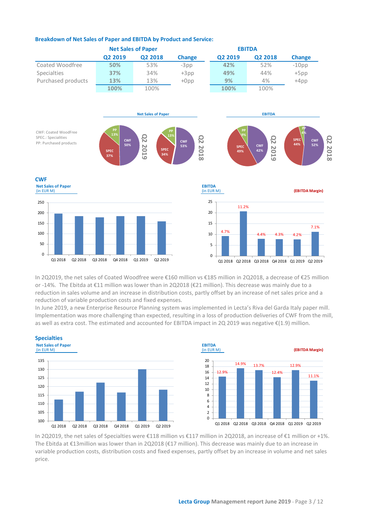

# **Breakdown of Net Sales of Paper and EBITDA by Product and Service:**

In 2Q2019, the net sales of Coated Woodfree were €160 million vs €185 million in 2Q2018, a decrease of €25 million or -14%. The Ebitda at €11 million was lower than in 2Q2018 (€21 million). This decrease was mainly due to a reduction in sales volume and an increase in distribution costs, partly offset by an increase of net sales price and a reduction of variable production costs and fixed expenses.

In June 2019, a new Enterprise Resource Planning system was implemented in Lecta's Riva del Garda Italy paper mill. Implementation was more challenging than expected, resulting in a loss of production deliveries of CWF from the mill, as well as extra cost. The estimated and accounted for EBITDA impact in 2Q 2019 was negative €(1.9) million.





In 2Q2019, the net sales of Specialties were €118 million vs €117 million in 2Q2018, an increase of €1 million or +1%. The Ebitda at €13million was lower than in 2Q2018 (€17 million). This decrease was mainly due to an increase in variable production costs, distribution costs and fixed expenses, partly offset by an increase in volume and net sales price.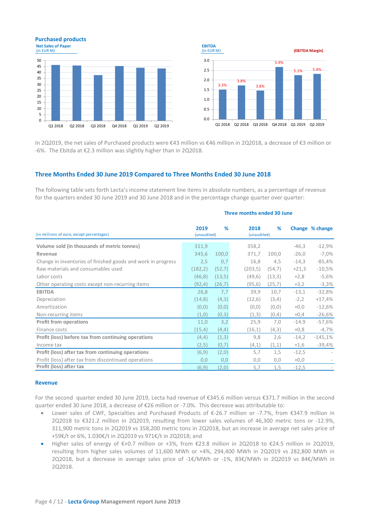



In 2Q2019, the net sales of Purchased products were €43 million vs €46 million in 2Q2018, a decrease of €3 million or -6%. The Ebitda at €2.3 million was slightly higher than in 2Q2018.

# **Three Months Ended 30 June 2019 Compared to Three Months Ended 30 June 2018**

The following table sets forth Lecta's income statement line items in absolute numbers, as a percentage of revenue for the quarters ended 30 June 2019 and 30 June 2018 and in the percentage change quarter over quarter:

| (in millions of euro, except percentages)                    | 2019<br>(unaudited) | %      | 2018<br>(unaudited) | %      |         | Change % change |
|--------------------------------------------------------------|---------------------|--------|---------------------|--------|---------|-----------------|
| Volume sold (in thousands of metric tonnes)                  | 311,9               |        | 358,2               |        | $-46,3$ | $-12,9%$        |
| Revenue                                                      | 345,6               | 100,0  | 371,7               | 100,0  | $-26,0$ | $-7,0\%$        |
| Change in inventories of finished goods and work in progress | 2,5                 | 0,7    | 16,8                | 4,5    | $-14,3$ | $-85,4%$        |
| Raw materials and consumables used                           | (182, 2)            | (52,7) | (203, 5)            | (54,7) | $+21,3$ | $-10,5%$        |
| Labor costs                                                  | (46, 8)             | (13,5) | (49,6)              | (13,3) | $+2,8$  | $-5,6%$         |
| Other operating costs except non-recurring items             | (92, 4)             | (26,7) | (95, 6)             | (25,7) | $+3,2$  | $-3,3%$         |
| <b>EBITDA</b>                                                | 26,8                | 7,7    | 39,9                | 10,7   | $-13,1$ | $-32,8%$        |
| Depreciation                                                 | (14, 8)             | (4,3)  | (12,6)              | (3,4)  | $-2,2$  | $+17,4%$        |
| Amortization                                                 | (0,0)               | (0, 0) | (0, 0)              | (0,0)  | $+0,0$  | $-12,6%$        |
| Non-recurring items                                          | (1,0)               | (0,3)  | (1,3)               | (0,4)  | $+0,4$  | $-26,6%$        |
| <b>Profit from operations</b>                                | 11,0                | 3,2    | 25,9                | 7,0    | $-14,9$ | $-57,6%$        |
| Finance costs                                                | (15, 4)             | (4, 4) | (16,1)              | (4,3)  | $+0,8$  | $-4,7\%$        |
| Profit (loss) before tax from continuing operations          | (4,4)               | (1,3)  | 9,8                 | 2,6    | $-14,2$ | $-145,1%$       |
| Income tax                                                   | (2,5)               | (0,7)  | (4,1)               | (1,1)  | $+1,6$  | $-39,4%$        |
| Profit (loss) after tax from continuing operations           | (6,9)               | (2,0)  | 5,7                 | 1,5    | $-12,5$ |                 |
| Profit (loss) after tax from discontinued operations         | 0,0                 | 0,0    | 0,0                 | 0,0    | $+0,0$  |                 |
| Profit (loss) after tax                                      | (6,9)               | (2,0)  | 5,7                 | 1,5    | $-12,5$ |                 |

## **Three months ended 30 June**

#### **Revenue**

For the second quarter ended 30 June 2019, Lecta had revenue of €345.6 million versus €371.7 million in the second quarter ended 30 June 2018, a decrease of €26 million or -7.0%. This decrease was attributable to:

- Lower sales of CWF, Specialties and Purchased Products of €-26.7 million or -7.7%, from €347.9 million in 2Q2018 to €321.2 million in 2Q2019, resulting from lower sales volumes of 46,300 metric tons or -12.9%, 311,900 metric tons in 2Q2019 vs 358,200 metric tons in 2Q2018, but an increase in average net sales price of +59€/t or 6%, 1.030€/t in 2Q2019 vs 971€/t in 2Q2018; and
- Higher sales of energy of €+0.7 million or +3%, from €23.8 million in 2Q2018 to €24.5 million in 2Q2019, resulting from higher sales volumes of 11,600 MWh or +4%, 294,400 MWh in 2Q2019 vs 282,800 MWh in 2Q2018, but a decrease in average sales price of -1€/MWh or -1%, 83€/MWh in 2Q2019 vs 84€/MWh in 2Q2018.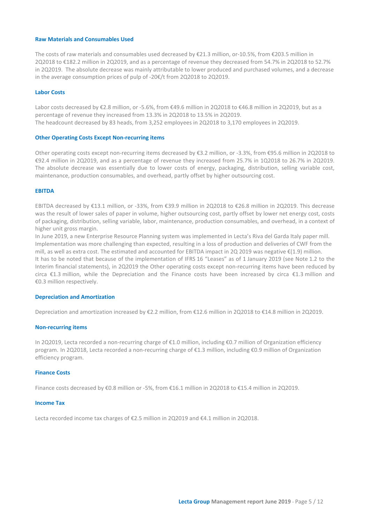## **Raw Materials and Consumables Used**

The costs of raw materials and consumables used decreased by €21.3 million, or-10.5%, from €203.5 million in 2Q2018 to €182.2 million in 2Q2019, and as a percentage of revenue they decreased from 54.7% in 2Q2018 to 52.7% in 2Q2019. The absolute decrease was mainly attributable to lower produced and purchased volumes, and a decrease in the average consumption prices of pulp of -20€/t from 2Q2018 to 2Q2019.

#### **Labor Costs**

Labor costs decreased by €2.8 million, or -5.6%, from €49.6 million in 2Q2018 to €46.8 million in 2Q2019, but as a percentage of revenue they increased from 13.3% in 2Q2018 to 13.5% in 2Q2019. The headcount decreased by 83 heads, from 3,252 employees in 2Q2018 to 3,170 employees in 2Q2019.

#### **Other Operating Costs Except Non-recurring items**

Other operating costs except non-recurring items decreased by €3.2 million, or -3.3%, from €95.6 million in 2Q2018 to €92.4 million in 2Q2019, and as a percentage of revenue they increased from 25.7% in 1Q2018 to 26.7% in 2Q2019. The absolute decrease was essentially due to lower costs of energy, packaging, distribution, selling variable cost, maintenance, production consumables, and overhead, partly offset by higher outsourcing cost.

#### **EBITDA**

EBITDA decreased by €13.1 million, or -33%, from €39.9 million in 2Q2018 to €26.8 million in 2Q2019. This decrease was the result of lower sales of paper in volume, higher outsourcing cost, partly offset by lower net energy cost, costs of packaging, distribution, selling variable, labor, maintenance, production consumables, and overhead, in a context of higher unit gross margin.

In June 2019, a new Enterprise Resource Planning system was implemented in Lecta's Riva del Garda Italy paper mill. Implementation was more challenging than expected, resulting in a loss of production and deliveries of CWF from the mill, as well as extra cost. The estimated and accounted for EBITDA impact in 2Q 2019 was negative  $\epsilon$ (1.9) million. It has to be noted that because of the implementation of IFRS 16 "Leases" as of 1 January 2019 (see Note 1.2 to the Interim financial statements), in 2Q2019 the Other operating costs except non-recurring items have been reduced by circa €1.3 million, while the Depreciation and the Finance costs have been increased by circa €1.3 million and €0.3 million respectively.

#### **Depreciation and Amortization**

Depreciation and amortization increased by €2.2 million, from €12.6 million in 2Q2018 to €14.8 million in 2Q2019.

#### **Non-recurring items**

In 2Q2019, Lecta recorded a non-recurring charge of €1.0 million, including €0.7 million of Organization efficiency program. In 2Q2018, Lecta recorded a non-recurring charge of €1.3 million, including €0.9 million of Organization efficiency program.

#### **Finance Costs**

Finance costs decreased by €0.8 million or -5%, from €16.1 million in 2Q2018 to €15.4 million in 2Q2019.

#### **Income Tax**

Lecta recorded income tax charges of €2.5 million in 2Q2019 and €4.1 million in 2Q2018.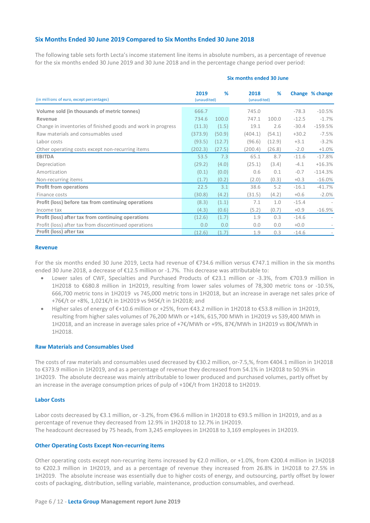# **Six Months Ended 30 June 2019 Compared to Six Months Ended 30 June 2018**

The following table sets forth Lecta's income statement line items in absolute numbers, as a percentage of revenue for the six months ended 30 June 2019 and 30 June 2018 and in the percentage change period over period:

| (in millions of euro, except percentages)                    | 2019<br>(unaudited) | %      | 2018<br>(unaudited) | %      |         | Change % change |
|--------------------------------------------------------------|---------------------|--------|---------------------|--------|---------|-----------------|
| Volume sold (in thousands of metric tonnes)                  | 666.7               |        | 745.0               |        | $-78.3$ | $-10.5%$        |
| Revenue                                                      | 734.6               | 100.0  | 747.1               | 100.0  | $-12.5$ | $-1.7\%$        |
| Change in inventories of finished goods and work in progress | (11.3)              | (1.5)  | 19.1                | 2.6    | $-30.4$ | $-159.5%$       |
| Raw materials and consumables used                           | (373.9)             | (50.9) | (404.1)             | (54.1) | $+30.2$ | $-7.5%$         |
| Labor costs                                                  | (93.5)              | (12.7) | (96.6)              | (12.9) | $+3.1$  | $-3.2%$         |
| Other operating costs except non-recurring items             | (202.3)             | (27.5) | (200.4)             | (26.8) | $-2.0$  | $+1.0%$         |
| <b>EBITDA</b>                                                | 53.5                | 7.3    | 65.1                | 8.7    | $-11.6$ | $-17.8%$        |
| Depreciation                                                 | (29.2)              | (4.0)  | (25.1)              | (3.4)  | $-4.1$  | $+16.3%$        |
| Amortization                                                 | (0.1)               | (0.0)  | 0.6                 | 0.1    | $-0.7$  | $-114.3%$       |
| Non-recurring items                                          | (1.7)               | (0.2)  | (2.0)               | (0.3)  | $+0.3$  | $-16.0%$        |
| <b>Profit from operations</b>                                | 22.5                | 3.1    | 38.6                | 5.2    | $-16.1$ | $-41.7%$        |
| Finance costs                                                | (30.8)              | (4.2)  | (31.5)              | (4.2)  | $+0.6$  | $-2.0%$         |
| Profit (loss) before tax from continuing operations          | (8.3)               | (1.1)  | 7.1                 | 1.0    | $-15.4$ |                 |
| Income tax                                                   | (4.3)               | (0.6)  | (5.2)               | (0.7)  | $+0.9$  | $-16.9%$        |
| Profit (loss) after tax from continuing operations           | (12.6)              | (1.7)  | 1.9                 | 0.3    | $-14.6$ |                 |
| Profit (loss) after tax from discontinued operations         | 0.0                 | 0.0    | 0.0                 | 0.0    | $+0.0$  |                 |
| Profit (loss) after tax                                      | (12.6)              | (1.7)  | 1.9                 | 0.3    | $-14.6$ |                 |

#### **Revenue**

For the six months ended 30 June 2019, Lecta had revenue of €734.6 million versus €747.1 million in the six months ended 30 June 2018, a decrease of €12.5 million or -1.7%. This decrease was attributable to:

- Lower sales of CWF, Specialties and Purchased Products of €23.1 million or -3.3%, from €703.9 million in 1H2018 to €680.8 million in 1H2019, resulting from lower sales volumes of 78,300 metric tons or -10.5%, 666,700 metric tons in 1H2019 vs 745,000 metric tons in 1H2018, but an increase in average net sales price of +76€/t or +8%, 1,021€/t in 1H2019 vs 945€/t in 1H2018; and
- Higher sales of energy of €+10.6 million or +25%, from €43.2 million in 1H2018 to €53.8 million in 1H2019, resulting from higher sales volumes of 76,200 MWh or +14%, 615,700 MWh in 1H2019 vs 539,400 MWh in 1H2018, and an increase in average sales price of +7€/MWh or +9%, 87€/MWh in 1H2019 vs 80€/MWh in 1H2018.

#### **Raw Materials and Consumables Used**

The costs of raw materials and consumables used decreased by €30.2 million, or-7.5,%, from €404.1 million in 1H2018 to €373.9 million in 1H2019, and as a percentage of revenue they decreased from 54.1% in 1H2018 to 50.9% in 1H2019. The absolute decrease was mainly attributable to lower produced and purchased volumes, partly offset by an increase in the average consumption prices of pulp of +10€/t from 1H2018 to 1H2019.

#### **Labor Costs**

Labor costs decreased by €3.1 million, or -3.2%, from €96.6 million in 1H2018 to €93.5 million in 1H2019, and as a percentage of revenue they decreased from 12.9% in 1H2018 to 12.7% in 1H2019. The headcount decreased by 75 heads, from 3,245 employees in 1H2018 to 3,169 employees in 1H2019.

#### **Other Operating Costs Except Non-recurring items**

Other operating costs except non-recurring items increased by €2.0 million, or +1.0%, from €200.4 million in 1H2018 to €202.3 million in 1H2019, and as a percentage of revenue they increased from 26.8% in 1H2018 to 27.5% in 1H2019. The absolute increase was essentially due to higher costs of energy, and outsourcing, partly offset by lower costs of packaging, distribution, selling variable, maintenance, production consumables, and overhead.

#### **Six months ended 30 June**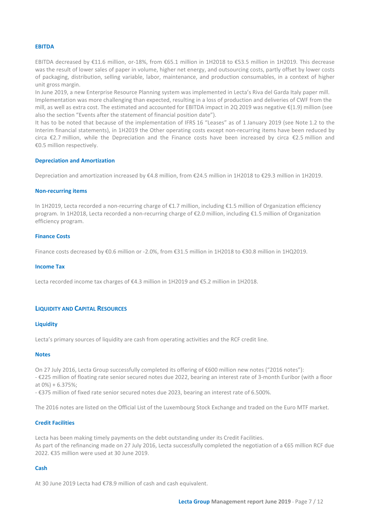## **EBITDA**

EBITDA decreased by €11.6 million, or-18%, from €65.1 million in 1H2018 to €53.5 million in 1H2019. This decrease was the result of lower sales of paper in volume, higher net energy, and outsourcing costs, partly offset by lower costs of packaging, distribution, selling variable, labor, maintenance, and production consumables, in a context of higher unit gross margin.

In June 2019, a new Enterprise Resource Planning system was implemented in Lecta's Riva del Garda Italy paper mill. Implementation was more challenging than expected, resulting in a loss of production and deliveries of CWF from the mill, as well as extra cost. The estimated and accounted for EBITDA impact in 2Q 2019 was negative €(1.9) million (see also the section "Events after the statement of financial position date").

It has to be noted that because of the implementation of IFRS 16 "Leases" as of 1 January 2019 (see Note 1.2 to the Interim financial statements), in 1H2019 the Other operating costs except non-recurring items have been reduced by circa €2.7 million, while the Depreciation and the Finance costs have been increased by circa €2.5 million and €0.5 million respectively.

## **Depreciation and Amortization**

Depreciation and amortization increased by €4.8 million, from €24.5 million in 1H2018 to €29.3 million in 1H2019.

## **Non-recurring items**

In 1H2019, Lecta recorded a non-recurring charge of €1.7 million, including €1.5 million of Organization efficiency program. In 1H2018, Lecta recorded a non-recurring charge of €2.0 million, including €1.5 million of Organization efficiency program.

## **Finance Costs**

Finance costs decreased by €0.6 million or -2.0%, from €31.5 million in 1H2018 to €30.8 million in 1HQ2019.

#### **Income Tax**

Lecta recorded income tax charges of €4.3 million in 1H2019 and €5.2 million in 1H2018.

# **LIQUIDITY AND CAPITAL RESOURCES**

#### **Liquidity**

Lecta's primary sources of liquidity are cash from operating activities and the RCF credit line.

#### **Notes**

On 27 July 2016, Lecta Group successfully completed its offering of €600 million new notes ("2016 notes"): - €225 million of floating rate senior secured notes due 2022, bearing an interest rate of 3-month Euribor (with a floor at 0%) + 6.375%;

- €375 million of fixed rate senior secured notes due 2023, bearing an interest rate of 6.500%.

The 2016 notes are listed on the Official List of the Luxembourg Stock Exchange and traded on the Euro MTF market.

# **Credit Facilities**

Lecta has been making timely payments on the debt outstanding under its Credit Facilities. As part of the refinancing made on 27 July 2016, Lecta successfully completed the negotiation of a €65 million RCF due 2022. €35 million were used at 30 June 2019.

# **Cash**

At 30 June 2019 Lecta had €78.9 million of cash and cash equivalent.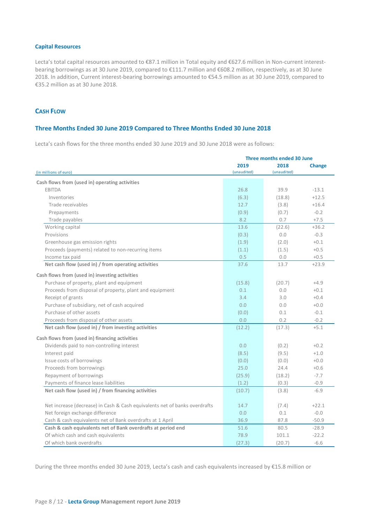# **Capital Resources**

Lecta's total capital resources amounted to €87.1 million in Total equity and €627.6 million in Non-current interestbearing borrowings as at 30 June 2019, compared to €111.7 million and €608.2 million, respectively, as at 30 June 2018. In addition, Current interest-bearing borrowings amounted to €54.5 million as at 30 June 2019, compared to €35.2 million as at 30 June 2018.

# **CASH FLOW**

# **Three Months Ended 30 June 2019 Compared to Three Months Ended 30 June 2018**

Lecta's cash flows for the three months ended 30 June 2019 and 30 June 2018 were as follows:

|                                                                            | Three months ended 30 June |                     |               |  |  |  |
|----------------------------------------------------------------------------|----------------------------|---------------------|---------------|--|--|--|
| (in millions of euro)                                                      | 2019<br>(unaudited)        | 2018<br>(unaudited) | <b>Change</b> |  |  |  |
| Cash flows from (used in) operating activities                             |                            |                     |               |  |  |  |
| <b>EBITDA</b>                                                              | 26.8                       | 39.9                | $-13.1$       |  |  |  |
| Inventories                                                                | (6.3)                      | (18.8)              | $+12.5$       |  |  |  |
| Trade receivables                                                          | 12.7                       | (3.8)               | $+16.4$       |  |  |  |
| Prepayments                                                                | (0.9)                      | (0.7)               | $-0.2$        |  |  |  |
| Trade payables                                                             | 8.2                        | 0.7                 | $+7.5$        |  |  |  |
| Working capital                                                            | 13.6                       | (22.6)              | $+36.2$       |  |  |  |
| Provisions                                                                 | (0.3)                      | 0.0                 | $-0.3$        |  |  |  |
| Greenhouse gas emission rights                                             | (1.9)                      | (2.0)               | $+0.1$        |  |  |  |
| Proceeds (payments) related to non-recurring items                         | (1.1)                      | (1.5)               | $+0.5$        |  |  |  |
| Income tax paid                                                            | 0.5                        | 0.0                 | $+0.5$        |  |  |  |
| Net cash flow (used in) / from operating activities                        | 37.6                       | 13.7                | $+23.9$       |  |  |  |
| Cash flows from (used in) investing activities                             |                            |                     |               |  |  |  |
| Purchase of property, plant and equipment                                  | (15.8)                     | (20.7)              | $+4.9$        |  |  |  |
| Proceeds from disposal of property, plant and equipment                    | 0.1                        | 0.0                 | $+0.1$        |  |  |  |
| Receipt of grants                                                          | 3.4                        | 3.0                 | $+0.4$        |  |  |  |
| Purchase of subsidiary, net of cash acquired                               | 0.0                        | 0.0                 | $+0.0$        |  |  |  |
| Purchase of other assets                                                   | (0.0)                      | 0.1                 | $-0.1$        |  |  |  |
| Proceeds from disposal of other assets                                     | 0.0                        | 0.2                 | $-0.2$        |  |  |  |
| Net cash flow (used in) / from investing activities                        | (12.2)                     | (17.3)              | $+5.1$        |  |  |  |
| Cash flows from (used in) financing activities                             |                            |                     |               |  |  |  |
| Dividends paid to non-controlling interest                                 | 0.0                        | (0.2)               | $+0.2$        |  |  |  |
| Interest paid                                                              | (8.5)                      | (9.5)               | $+1.0$        |  |  |  |
| Issue costs of borrowings                                                  | (0.0)                      | (0.0)               | $+0.0$        |  |  |  |
| Proceeds from borrowings                                                   | 25.0                       | 24.4                | $+0.6$        |  |  |  |
| Repayment of borrowings                                                    | (25.9)                     | (18.2)              | $-7.7$        |  |  |  |
| Payments of finance lease liabilities                                      | (1.2)                      | (0.3)               | $-0.9$        |  |  |  |
| Net cash flow (used in) / from financing activities                        | (10.7)                     | (3.8)               | $-6.9$        |  |  |  |
| Net increase (decrease) in Cash & Cash equivalents net of banks overdrafts | 14.7                       | (7.4)               | $+22.1$       |  |  |  |
| Net foreign exchange difference                                            | 0.0                        | 0.1                 | $-0.0 -$      |  |  |  |
| Cash & cash equivalents net of Bank overdrafts at 1 April                  | 36.9                       | 87.8                | $-50.9$       |  |  |  |
| Cash & cash equivalents net of Bank overdrafts at period end               | 51.6                       | 80.5                | $-28.9$       |  |  |  |
|                                                                            |                            |                     | $-22.2$       |  |  |  |
| Of which cash and cash equivalents                                         | 78.9                       | 101.1               |               |  |  |  |
| Of which bank overdrafts                                                   | (27.3)                     | (20.7)              | $-6.6$        |  |  |  |

During the three months ended 30 June 2019, Lecta's cash and cash equivalents increased by €15.8 million or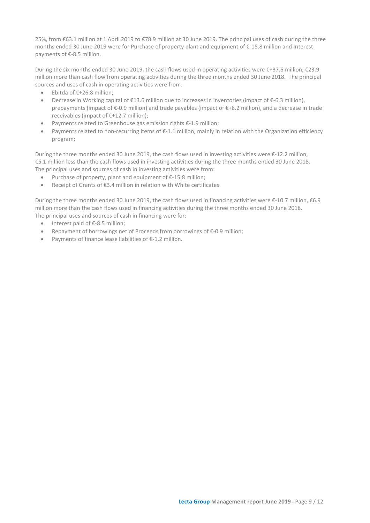25%, from €63.1 million at 1 April 2019 to €78.9 million at 30 June 2019. The principal uses of cash during the three months ended 30 June 2019 were for Purchase of property plant and equipment of €-15.8 million and Interest payments of €-8.5 million.

During the six months ended 30 June 2019, the cash flows used in operating activities were €+37.6 million, €23.9 million more than cash flow from operating activities during the three months ended 30 June 2018. The principal sources and uses of cash in operating activities were from:

- Ebitda of €+26.8 million;
- Decrease in Working capital of €13.6 million due to increases in inventories (impact of €-6.3 million), prepayments (impact of €-0.9 million) and trade payables (impact of €+8.2 million), and a decrease in trade receivables (impact of €+12.7 million);
- Payments related to Greenhouse gas emission rights €-1.9 million;
- Payments related to non-recurring items of €-1.1 million, mainly in relation with the Organization efficiency program;

During the three months ended 30 June 2019, the cash flows used in investing activities were €-12.2 million, €5.1 million less than the cash flows used in investing activities during the three months ended 30 June 2018. The principal uses and sources of cash in investing activities were from:

- Purchase of property, plant and equipment of €-15.8 million;
- Receipt of Grants of €3.4 million in relation with White certificates.

During the three months ended 30 June 2019, the cash flows used in financing activities were €-10.7 million, €6.9 million more than the cash flows used in financing activities during the three months ended 30 June 2018. The principal uses and sources of cash in financing were for:

- Interest paid of €-8.5 million;
- Repayment of borrowings net of Proceeds from borrowings of €-0.9 million;
- Payments of finance lease liabilities of €-1.2 million.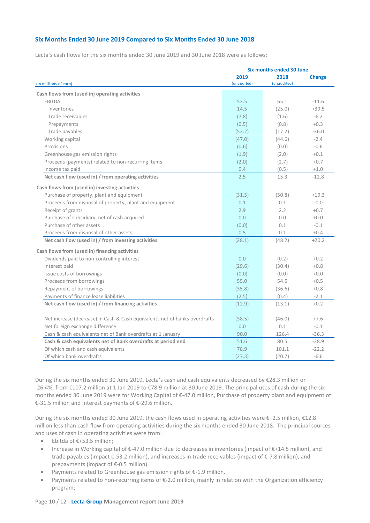# **Six Months Ended 30 June 2019 Compared to Six Months Ended 30 June 2018**

Lecta's cash flows for the six months ended 30 June 2019 and 30 June 2018 were as follows:

|                                                                            | <b>Six months ended 30 June</b> |                     |               |  |  |  |  |
|----------------------------------------------------------------------------|---------------------------------|---------------------|---------------|--|--|--|--|
| (in millions of euro)                                                      | 2019<br>(unaudited)             | 2018<br>(unaudited) | <b>Change</b> |  |  |  |  |
| Cash flows from (used in) operating activities                             |                                 |                     |               |  |  |  |  |
| <b>EBITDA</b>                                                              | 53.5                            | 65.1                | $-11.6$       |  |  |  |  |
| Inventories                                                                | 14.5                            | (25.0)              | $+39.5$       |  |  |  |  |
| Trade receivables                                                          | (7.8)                           | (1.6)               | $-6.2$        |  |  |  |  |
| Prepayments                                                                | (0.5)                           | (0.8)               | $+0.3$        |  |  |  |  |
| Trade payables                                                             | (53.2)                          | (17.2)              | $-36.0$       |  |  |  |  |
| Working capital                                                            | (47.0)                          | (44.6)              | $-2.4$        |  |  |  |  |
| Provisions                                                                 | (0.6)                           | (0.0)               | $-0.6$        |  |  |  |  |
| Greenhouse gas emission rights                                             | (1.9)                           | (2.0)               | $+0.1$        |  |  |  |  |
| Proceeds (payments) related to non-recurring items                         | (2.0)                           | (2.7)               | $+0.7$        |  |  |  |  |
| Income tax paid                                                            | 0.4                             | (0.5)               | $+1.0$        |  |  |  |  |
| Net cash flow (used in) / from operating activities                        | 2.5                             | 15.3                | $-12.8$       |  |  |  |  |
| Cash flows from (used in) investing activities                             |                                 |                     |               |  |  |  |  |
| Purchase of property, plant and equipment                                  | (31.5)                          | (50.8)              | $+19.3$       |  |  |  |  |
| Proceeds from disposal of property, plant and equipment                    | 0.1                             | 0.1                 | $-0.0$        |  |  |  |  |
| Receipt of grants                                                          | 2.9                             | 2.2                 | $+0.7$        |  |  |  |  |
| Purchase of subsidiary, net of cash acquired                               | 0.0                             | 0.0                 | $+0.0$        |  |  |  |  |
| Purchase of other assets                                                   | (0.0)                           | 0.1                 | $-0.1$        |  |  |  |  |
| Proceeds from disposal of other assets                                     | 0.5                             | 0.1                 | $+0.4$        |  |  |  |  |
| Net cash flow (used in) / from investing activities                        | (28.1)                          | (48.2)              | $+20.2$       |  |  |  |  |
| Cash flows from (used in) financing activities                             |                                 |                     |               |  |  |  |  |
| Dividends paid to non-controlling interest                                 | 0.0                             | (0.2)               | $+0.2$        |  |  |  |  |
| Interest paid                                                              | (29.6)                          | (30.4)              | $+0.8$        |  |  |  |  |
| Issue costs of borrowings                                                  | (0.0)                           | (0.0)               | $+0.0$        |  |  |  |  |
| Proceeds from borrowings                                                   | 55.0                            | 54.5                | $+0.5$        |  |  |  |  |
| Repayment of borrowings                                                    | (35.8)                          | (36.6)              | $+0.8$        |  |  |  |  |
| Payments of finance lease liabilities                                      | (2.5)                           | (0.4)               | $-2.1$        |  |  |  |  |
| Net cash flow (used in) / from financing activities                        | (12.9)                          | (13.1)              | $+0.2$        |  |  |  |  |
|                                                                            |                                 |                     |               |  |  |  |  |
| Net increase (decrease) in Cash & Cash equivalents net of banks overdrafts | (38.5)                          | (46.0)              | $+7.6$        |  |  |  |  |
| Net foreign exchange difference                                            | 0.0                             | 0.1                 | $-0.1$        |  |  |  |  |
| Cash & cash equivalents net of Bank overdrafts at 1 January                | 90.0                            | 126.4               | $-36.3$       |  |  |  |  |
| Cash & cash equivalents net of Bank overdrafts at period end               | 51.6                            | 80.5                | $-28.9$       |  |  |  |  |
| Of which cash and cash equivalents                                         | 78.9                            | 101.1               | $-22.2$       |  |  |  |  |
| Of which bank overdrafts                                                   | (27.3)                          | (20.7)              | $-6.6$        |  |  |  |  |

During the six months ended 30 June 2019, Lecta's cash and cash equivalents decreased by €28.3 million or -26.4%, from €107.2 million at 1 Jan 2019 to €78.9 million at 30 June 2019. The principal uses of cash during the six months ended 30 June 2019 were for Working Capital of €-47.0 million, Purchase of property plant and equipment of €-31.5 million and Interest payments of €-29.6 million.

During the six months ended 30 June 2019, the cash flows used in operating activities were €+2.5 million, €12.8 million less than cash flow from operating activities during the six months ended 30 June 2018. The principal sources and uses of cash in operating activities were from:

- Ebitda of €+53.5 million;
- Increase in Working capital of €-47.0 million due to decreases in inventories (impact of €+14.5 million), and trade payables (impact €-53.2 million), and increases in trade receivables (impact of €-7.8 million), and prepayments (impact of €-0.5 million)
- Payments related to Greenhouse gas emission rights of €-1.9 million.
- Payments related to non-recurring items of €-2.0 million, mainly in relation with the Organization efficiency program;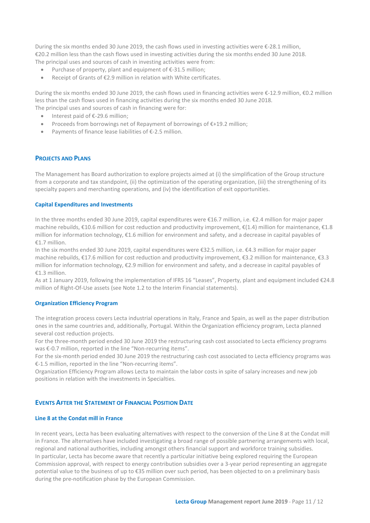During the six months ended 30 June 2019, the cash flows used in investing activities were €-28.1 million, €20.2 million less than the cash flows used in investing activities during the six months ended 30 June 2018. The principal uses and sources of cash in investing activities were from:

- Purchase of property, plant and equipment of  $\epsilon$ -31.5 million;
- Receipt of Grants of €2.9 million in relation with White certificates.

During the six months ended 30 June 2019, the cash flows used in financing activities were €-12.9 million, €0.2 million less than the cash flows used in financing activities during the six months ended 30 June 2018. The principal uses and sources of cash in financing were for:

- Interest paid of €-29.6 million;
- Proceeds from borrowings net of Repayment of borrowings of €+19.2 million;
- Payments of finance lease liabilities of €-2.5 million.

# **PROJECTS AND PLANS**

The Management has Board authorization to explore projects aimed at (i) the simplification of the Group structure from a corporate and tax standpoint, (ii) the optimization of the operating organization, (iii) the strengthening of its specialty papers and merchanting operations, and (iv) the identification of exit opportunities.

# **Capital Expenditures and Investments**

In the three months ended 30 June 2019, capital expenditures were €16.7 million, i.e. €2.4 million for major paper machine rebuilds, €10.6 million for cost reduction and productivity improvement, €(1.4) million for maintenance, €1.8 million for information technology, €1.6 million for environment and safety, and a decrease in capital payables of €1.7 million.

In the six months ended 30 June 2019, capital expenditures were €32.5 million, i.e. €4.3 million for major paper machine rebuilds, €17.6 million for cost reduction and productivity improvement, €3.2 million for maintenance, €3.3 million for information technology, €2.9 million for environment and safety, and a decrease in capital payables of €1.3 million.

As at 1 January 2019, following the implementation of IFRS 16 "Leases", Property, plant and equipment included €24.8 million of Right-Of-Use assets (see Note 1.2 to the Interim Financial statements).

# **Organization Efficiency Program**

The integration process covers Lecta industrial operations in Italy, France and Spain, as well as the paper distribution ones in the same countries and, additionally, Portugal. Within the Organization efficiency program, Lecta planned several cost reduction projects.

For the three-month period ended 30 June 2019 the restructuring cash cost associated to Lecta efficiency programs was €-0.7 million, reported in the line "Non-recurring items".

For the six-month period ended 30 June 2019 the restructuring cash cost associated to Lecta efficiency programs was €-1.5 million, reported in the line "Non-recurring items".

Organization Efficiency Program allows Lecta to maintain the labor costs in spite of salary increases and new job positions in relation with the investments in Specialties.

# **EVENTS AFTER THE STATEMENT OF FINANCIAL POSITION DATE**

# **Line 8 at the Condat mill in France**

In recent years, Lecta has been evaluating alternatives with respect to the conversion of the Line 8 at the Condat mill in France. The alternatives have included investigating a broad range of possible partnering arrangements with local, regional and national authorities, including amongst others financial support and workforce training subsidies. In particular, Lecta has become aware that recently a particular initiative being explored requiring the European Commission approval, with respect to energy contribution subsidies over a 3-year period representing an aggregate potential value to the business of up to €35 million over such period, has been objected to on a preliminary basis during the pre-notification phase by the European Commission.